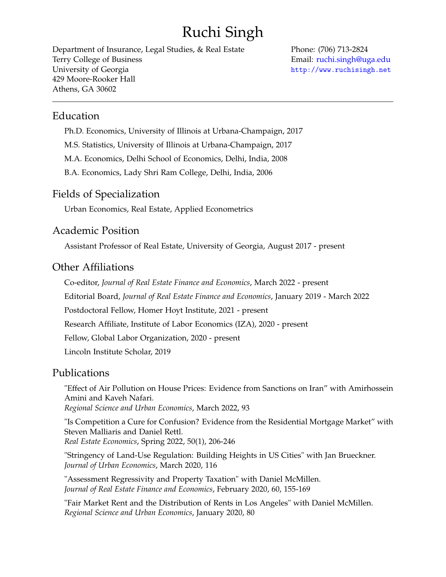# Ruchi Singh

Department of Insurance, Legal Studies, & Real Estate Terry College of Business University of Georgia 429 Moore-Rooker Hall Athens, GA 30602

Phone: (706) 713-2824 Email: [ruchi.singh@uga.edu](mailto:ruchi.singh@uga.edu) <http://www.ruchisingh.net>

#### Education

Ph.D. Economics, University of Illinois at Urbana-Champaign, 2017

M.S. Statistics, University of Illinois at Urbana-Champaign, 2017

M.A. Economics, Delhi School of Economics, Delhi, India, 2008

B.A. Economics, Lady Shri Ram College, Delhi, India, 2006

## Fields of Specialization

Urban Economics, Real Estate, Applied Econometrics

## Academic Position

Assistant Professor of Real Estate, University of Georgia, August 2017 - present

# Other Affiliations

Co-editor, *Journal of Real Estate Finance and Economics*, March 2022 - present Editorial Board, *Journal of Real Estate Finance and Economics*, January 2019 - March 2022 Postdoctoral Fellow, Homer Hoyt Institute, 2021 - present Research Affiliate, Institute of Labor Economics (IZA), 2020 - present Fellow, Global Labor Organization, 2020 - present Lincoln Institute Scholar, 2019

## Publications

"Effect of Air Pollution on House Prices: Evidence from Sanctions on Iran" with Amirhossein Amini and Kaveh Nafari. *Regional Science and Urban Economics*, March 2022, 93

"Is Competition a Cure for Confusion? Evidence from the Residential Mortgage Market" with Steven Malliaris and Daniel Rettl. *Real Estate Economics*, Spring 2022, 50(1), 206-246

"Stringency of Land-Use Regulation: Building Heights in US Cities" with Jan Brueckner. *Journal of Urban Economics*, March 2020, 116

"Assessment Regressivity and Property Taxation" with Daniel McMillen. *Journal of Real Estate Finance and Economics*, February 2020, 60, 155-169

"Fair Market Rent and the Distribution of Rents in Los Angeles" with Daniel McMillen. *Regional Science and Urban Economics*, January 2020, 80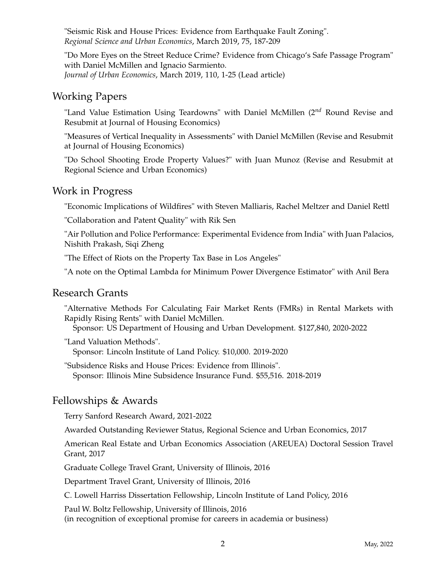"Seismic Risk and House Prices: Evidence from Earthquake Fault Zoning". *Regional Science and Urban Economics*, March 2019, 75, 187-209

"Do More Eyes on the Street Reduce Crime? Evidence from Chicago's Safe Passage Program" with Daniel McMillen and Ignacio Sarmiento. *Journal of Urban Economics*, March 2019, 110, 1-25 (Lead article)

## Working Papers

"Land Value Estimation Using Teardowns" with Daniel McMillen (2*nd* Round Revise and Resubmit at Journal of Housing Economics)

"Measures of Vertical Inequality in Assessments" with Daniel McMillen (Revise and Resubmit at Journal of Housing Economics)

"Do School Shooting Erode Property Values?" with Juan Munoz (Revise and Resubmit at Regional Science and Urban Economics)

#### Work in Progress

"Economic Implications of Wildfires" with Steven Malliaris, Rachel Meltzer and Daniel Rettl

"Collaboration and Patent Quality" with Rik Sen

"Air Pollution and Police Performance: Experimental Evidence from India" with Juan Palacios, Nishith Prakash, Siqi Zheng

"The Effect of Riots on the Property Tax Base in Los Angeles"

"A note on the Optimal Lambda for Minimum Power Divergence Estimator" with Anil Bera

#### Research Grants

"Alternative Methods For Calculating Fair Market Rents (FMRs) in Rental Markets with Rapidly Rising Rents" with Daniel McMillen.

Sponsor: US Department of Housing and Urban Development. \$127,840, 2020-2022

"Land Valuation Methods".

Sponsor: Lincoln Institute of Land Policy. \$10,000. 2019-2020

"Subsidence Risks and House Prices: Evidence from Illinois". Sponsor: Illinois Mine Subsidence Insurance Fund. \$55,516. 2018-2019

## Fellowships & Awards

Terry Sanford Research Award, 2021-2022

Awarded Outstanding Reviewer Status, Regional Science and Urban Economics, 2017

American Real Estate and Urban Economics Association (AREUEA) Doctoral Session Travel Grant, 2017

Graduate College Travel Grant, University of Illinois, 2016

Department Travel Grant, University of Illinois, 2016

C. Lowell Harriss Dissertation Fellowship, Lincoln Institute of Land Policy, 2016

Paul W. Boltz Fellowship, University of Illinois, 2016 (in recognition of exceptional promise for careers in academia or business)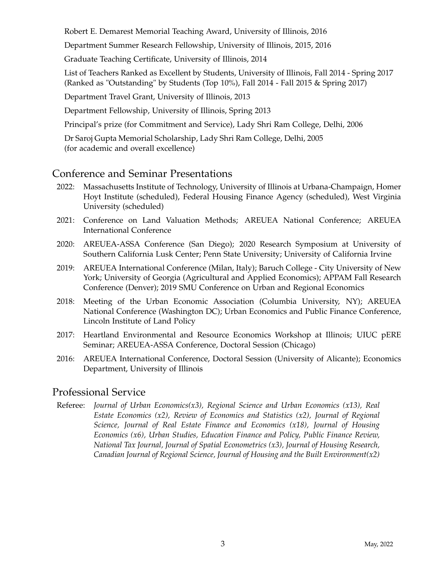Robert E. Demarest Memorial Teaching Award, University of Illinois, 2016

Department Summer Research Fellowship, University of Illinois, 2015, 2016

Graduate Teaching Certificate, University of Illinois, 2014

List of Teachers Ranked as Excellent by Students, University of Illinois, Fall 2014 - Spring 2017 (Ranked as "Outstanding" by Students (Top 10%), Fall 2014 - Fall 2015 & Spring 2017)

Department Travel Grant, University of Illinois, 2013

Department Fellowship, University of Illinois, Spring 2013

Principal's prize (for Commitment and Service), Lady Shri Ram College, Delhi, 2006

Dr Saroj Gupta Memorial Scholarship, Lady Shri Ram College, Delhi, 2005

(for academic and overall excellence)

# Conference and Seminar Presentations

- 2022: Massachusetts Institute of Technology, University of Illinois at Urbana-Champaign, Homer Hoyt Institute (scheduled), Federal Housing Finance Agency (scheduled), West Virginia University (scheduled)
- 2021: Conference on Land Valuation Methods; AREUEA National Conference; AREUEA International Conference
- 2020: AREUEA-ASSA Conference (San Diego); 2020 Research Symposium at University of Southern California Lusk Center; Penn State University; University of California Irvine
- 2019: AREUEA International Conference (Milan, Italy); Baruch College City University of New York; University of Georgia (Agricultural and Applied Economics); APPAM Fall Research Conference (Denver); 2019 SMU Conference on Urban and Regional Economics
- 2018: Meeting of the Urban Economic Association (Columbia University, NY); AREUEA National Conference (Washington DC); Urban Economics and Public Finance Conference, Lincoln Institute of Land Policy
- 2017: Heartland Environmental and Resource Economics Workshop at Illinois; UIUC pERE Seminar; AREUEA-ASSA Conference, Doctoral Session (Chicago)
- 2016: AREUEA International Conference, Doctoral Session (University of Alicante); Economics Department, University of Illinois

## Professional Service

Referee: *Journal of Urban Economics(x3), Regional Science and Urban Economics (x13), Real Estate Economics (x2), Review of Economics and Statistics (x2), Journal of Regional Science, Journal of Real Estate Finance and Economics (x18), Journal of Housing Economics (x6), Urban Studies, Education Finance and Policy, Public Finance Review, National Tax Journal, Journal of Spatial Econometrics (x3), Journal of Housing Research, Canadian Journal of Regional Science, Journal of Housing and the Built Environment(x2)*